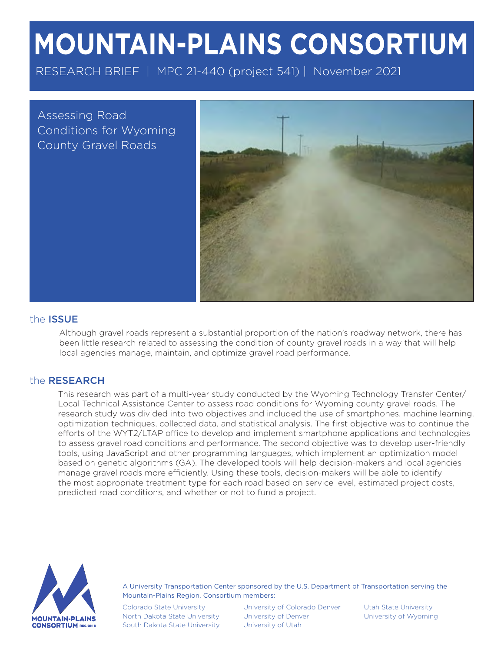# MOUNTAIN-PLAINS CONSORTIUM

RESEARCH BRIEF | MPC 21-440 (project 541) | November 2021

Assessing Road Conditions for Wyoming County Gravel Roads



#### the ISSUE

Although gravel roads represent a substantial proportion of the nation's roadway network, there has been little research related to assessing the condition of county gravel roads in a way that will help local agencies manage, maintain, and optimize gravel road performance.

#### the RESEARCH

This research was part of a multi-year study conducted by the Wyoming Technology Transfer Center/ Local Technical Assistance Center to assess road conditions for Wyoming county gravel roads. The research study was divided into two objectives and included the use of smartphones, machine learning, optimization techniques, collected data, and statistical analysis. The first objective was to continue the efforts of the WYT2/LTAP office to develop and implement smartphone applications and technologies to assess gravel road conditions and performance. The second objective was to develop user-friendly tools, using JavaScript and other programming languages, which implement an optimization model based on genetic algorithms (GA). The developed tools will help decision-makers and local agencies manage gravel roads more efficiently. Using these tools, decision-makers will be able to identify the most appropriate treatment type for each road based on service level, estimated project costs, predicted road conditions, and whether or not to fund a project.



A University Transportation Center sponsored by the U.S. Department of Transportation serving the Mountain-Plains Region. Consortium members:

Colorado State University North Dakota State University South Dakota State University

University of Colorado Denver University of Denver University of Utah

Utah State University University of Wyoming